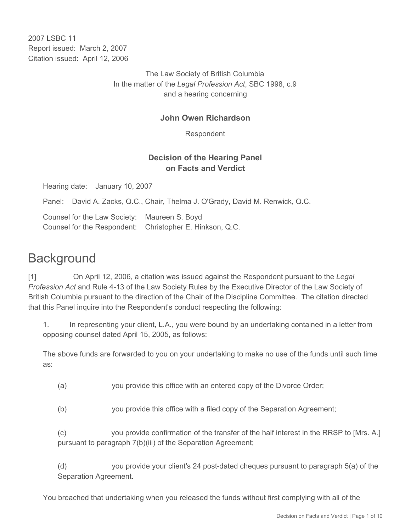2007 LSBC 11 Report issued: March 2, 2007 Citation issued: April 12, 2006

> The Law Society of British Columbia In the matter of the *Legal Profession Act*, SBC 1998, c.9 and a hearing concerning

#### **John Owen Richardson**

Respondent

### **Decision of the Hearing Panel on Facts and Verdict**

Hearing date: January 10, 2007

Panel: David A. Zacks, Q.C., Chair, Thelma J. O'Grady, David M. Renwick, Q.C.

Counsel for the Law Society: Maureen S. Boyd Counsel for the Respondent: Christopher E. Hinkson, Q.C.

# **Background**

[1] On April 12, 2006, a citation was issued against the Respondent pursuant to the *Legal Profession Act* and Rule 4-13 of the Law Society Rules by the Executive Director of the Law Society of British Columbia pursuant to the direction of the Chair of the Discipline Committee. The citation directed that this Panel inquire into the Respondent's conduct respecting the following:

1. In representing your client, L.A., you were bound by an undertaking contained in a letter from opposing counsel dated April 15, 2005, as follows:

The above funds are forwarded to you on your undertaking to make no use of the funds until such time as:

- (a) you provide this office with an entered copy of the Divorce Order;
- (b) you provide this office with a filed copy of the Separation Agreement;

(c) you provide confirmation of the transfer of the half interest in the RRSP to [Mrs. A.] pursuant to paragraph 7(b)(iii) of the Separation Agreement;

(d) you provide your client's 24 post-dated cheques pursuant to paragraph 5(a) of the Separation Agreement.

You breached that undertaking when you released the funds without first complying with all of the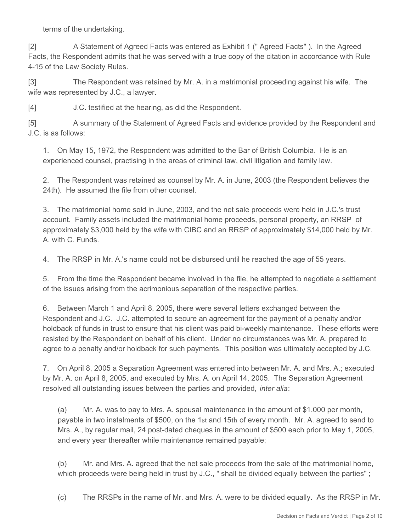terms of the undertaking.

[2] A Statement of Agreed Facts was entered as Exhibit 1 (" Agreed Facts" ). In the Agreed Facts, the Respondent admits that he was served with a true copy of the citation in accordance with Rule 4-15 of the Law Society Rules.

[3] The Respondent was retained by Mr. A. in a matrimonial proceeding against his wife. The wife was represented by J.C., a lawyer.

[4] J.C. testified at the hearing, as did the Respondent.

[5] A summary of the Statement of Agreed Facts and evidence provided by the Respondent and J.C. is as follows:

1. On May 15, 1972, the Respondent was admitted to the Bar of British Columbia. He is an experienced counsel, practising in the areas of criminal law, civil litigation and family law.

2. The Respondent was retained as counsel by Mr. A. in June, 2003 (the Respondent believes the 24th). He assumed the file from other counsel.

3. The matrimonial home sold in June, 2003, and the net sale proceeds were held in J.C.'s trust account. Family assets included the matrimonial home proceeds, personal property, an RRSP of approximately \$3,000 held by the wife with CIBC and an RRSP of approximately \$14,000 held by Mr. A. with C. Funds.

4. The RRSP in Mr. A.'s name could not be disbursed until he reached the age of 55 years.

5. From the time the Respondent became involved in the file, he attempted to negotiate a settlement of the issues arising from the acrimonious separation of the respective parties.

6. Between March 1 and April 8, 2005, there were several letters exchanged between the Respondent and J.C. J.C. attempted to secure an agreement for the payment of a penalty and/or holdback of funds in trust to ensure that his client was paid bi-weekly maintenance. These efforts were resisted by the Respondent on behalf of his client. Under no circumstances was Mr. A. prepared to agree to a penalty and/or holdback for such payments. This position was ultimately accepted by J.C.

7. On April 8, 2005 a Separation Agreement was entered into between Mr. A. and Mrs. A.; executed by Mr. A. on April 8, 2005, and executed by Mrs. A. on April 14, 2005. The Separation Agreement resolved all outstanding issues between the parties and provided, *inter alia*:

(a) Mr. A. was to pay to Mrs. A. spousal maintenance in the amount of \$1,000 per month, payable in two instalments of \$500, on the 1st and 15th of every month. Mr. A. agreed to send to Mrs. A., by regular mail, 24 post-dated cheques in the amount of \$500 each prior to May 1, 2005, and every year thereafter while maintenance remained payable;

(b) Mr. and Mrs. A. agreed that the net sale proceeds from the sale of the matrimonial home, which proceeds were being held in trust by J.C., " shall be divided equally between the parties" ;

(c) The RRSPs in the name of Mr. and Mrs. A. were to be divided equally. As the RRSP in Mr.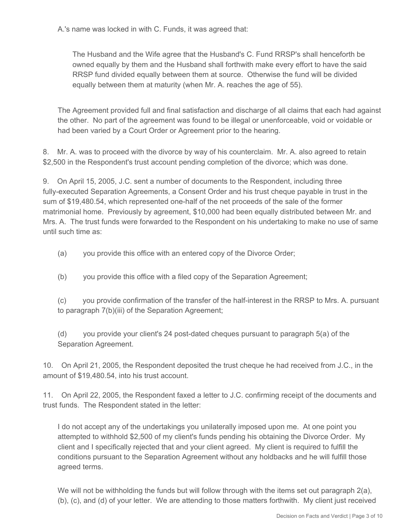A.'s name was locked in with C. Funds, it was agreed that:

The Husband and the Wife agree that the Husband's C. Fund RRSP's shall henceforth be owned equally by them and the Husband shall forthwith make every effort to have the said RRSP fund divided equally between them at source. Otherwise the fund will be divided equally between them at maturity (when Mr. A. reaches the age of 55).

The Agreement provided full and final satisfaction and discharge of all claims that each had against the other. No part of the agreement was found to be illegal or unenforceable, void or voidable or had been varied by a Court Order or Agreement prior to the hearing.

8. Mr. A. was to proceed with the divorce by way of his counterclaim. Mr. A. also agreed to retain \$2,500 in the Respondent's trust account pending completion of the divorce; which was done.

9. On April 15, 2005, J.C. sent a number of documents to the Respondent, including three fully-executed Separation Agreements, a Consent Order and his trust cheque payable in trust in the sum of \$19,480.54, which represented one-half of the net proceeds of the sale of the former matrimonial home. Previously by agreement, \$10,000 had been equally distributed between Mr. and Mrs. A. The trust funds were forwarded to the Respondent on his undertaking to make no use of same until such time as:

- (a) you provide this office with an entered copy of the Divorce Order;
- (b) you provide this office with a filed copy of the Separation Agreement;

(c) you provide confirmation of the transfer of the half-interest in the RRSP to Mrs. A. pursuant to paragraph 7(b)(iii) of the Separation Agreement;

(d) you provide your client's 24 post-dated cheques pursuant to paragraph 5(a) of the Separation Agreement.

10. On April 21, 2005, the Respondent deposited the trust cheque he had received from J.C., in the amount of \$19,480.54, into his trust account.

11. On April 22, 2005, the Respondent faxed a letter to J.C. confirming receipt of the documents and trust funds. The Respondent stated in the letter:

I do not accept any of the undertakings you unilaterally imposed upon me. At one point you attempted to withhold \$2,500 of my client's funds pending his obtaining the Divorce Order. My client and I specifically rejected that and your client agreed. My client is required to fulfill the conditions pursuant to the Separation Agreement without any holdbacks and he will fulfill those agreed terms.

We will not be withholding the funds but will follow through with the items set out paragraph 2(a), (b), (c), and (d) of your letter. We are attending to those matters forthwith. My client just received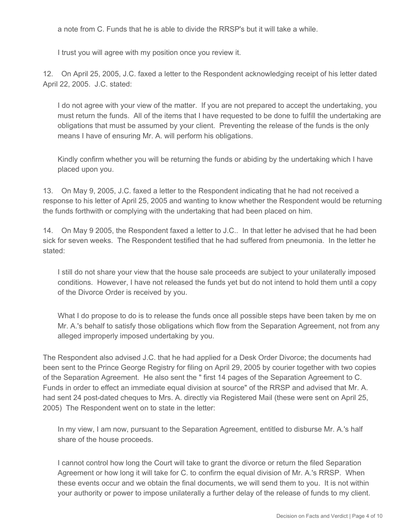a note from C. Funds that he is able to divide the RRSP's but it will take a while.

I trust you will agree with my position once you review it.

12. On April 25, 2005, J.C. faxed a letter to the Respondent acknowledging receipt of his letter dated April 22, 2005. J.C. stated:

I do not agree with your view of the matter. If you are not prepared to accept the undertaking, you must return the funds. All of the items that I have requested to be done to fulfill the undertaking are obligations that must be assumed by your client. Preventing the release of the funds is the only means I have of ensuring Mr. A. will perform his obligations.

Kindly confirm whether you will be returning the funds or abiding by the undertaking which I have placed upon you.

13. On May 9, 2005, J.C. faxed a letter to the Respondent indicating that he had not received a response to his letter of April 25, 2005 and wanting to know whether the Respondent would be returning the funds forthwith or complying with the undertaking that had been placed on him.

14. On May 9 2005, the Respondent faxed a letter to J.C.. In that letter he advised that he had been sick for seven weeks. The Respondent testified that he had suffered from pneumonia. In the letter he stated:

I still do not share your view that the house sale proceeds are subject to your unilaterally imposed conditions. However, I have not released the funds yet but do not intend to hold them until a copy of the Divorce Order is received by you.

What I do propose to do is to release the funds once all possible steps have been taken by me on Mr. A.'s behalf to satisfy those obligations which flow from the Separation Agreement, not from any alleged improperly imposed undertaking by you.

The Respondent also advised J.C. that he had applied for a Desk Order Divorce; the documents had been sent to the Prince George Registry for filing on April 29, 2005 by courier together with two copies of the Separation Agreement. He also sent the " first 14 pages of the Separation Agreement to C. Funds in order to effect an immediate equal division at source" of the RRSP and advised that Mr. A. had sent 24 post-dated cheques to Mrs. A. directly via Registered Mail (these were sent on April 25, 2005) The Respondent went on to state in the letter:

In my view, I am now, pursuant to the Separation Agreement, entitled to disburse Mr. A.'s half share of the house proceeds.

I cannot control how long the Court will take to grant the divorce or return the filed Separation Agreement or how long it will take for C. to confirm the equal division of Mr. A.'s RRSP. When these events occur and we obtain the final documents, we will send them to you. It is not within your authority or power to impose unilaterally a further delay of the release of funds to my client.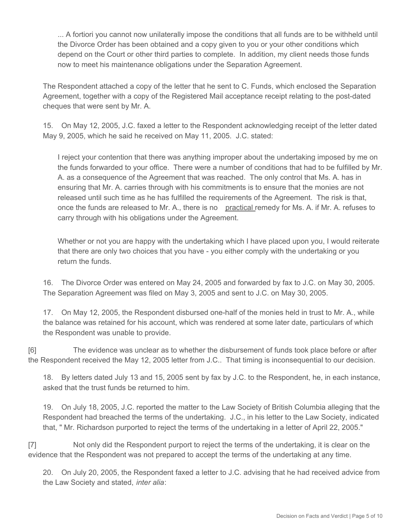... A fortiori you cannot now unilaterally impose the conditions that all funds are to be withheld until the Divorce Order has been obtained and a copy given to you or your other conditions which depend on the Court or other third parties to complete. In addition, my client needs those funds now to meet his maintenance obligations under the Separation Agreement.

The Respondent attached a copy of the letter that he sent to C. Funds, which enclosed the Separation Agreement, together with a copy of the Registered Mail acceptance receipt relating to the post-dated cheques that were sent by Mr. A.

15. On May 12, 2005, J.C. faxed a letter to the Respondent acknowledging receipt of the letter dated May 9, 2005, which he said he received on May 11, 2005. J.C. stated:

I reject your contention that there was anything improper about the undertaking imposed by me on the funds forwarded to your office. There were a number of conditions that had to be fulfilled by Mr. A. as a consequence of the Agreement that was reached. The only control that Ms. A. has in ensuring that Mr. A. carries through with his commitments is to ensure that the monies are not released until such time as he has fulfilled the requirements of the Agreement. The risk is that, once the funds are released to Mr. A., there is no practical remedy for Ms. A. if Mr. A. refuses to carry through with his obligations under the Agreement.

Whether or not you are happy with the undertaking which I have placed upon you, I would reiterate that there are only two choices that you have - you either comply with the undertaking or you return the funds.

16. The Divorce Order was entered on May 24, 2005 and forwarded by fax to J.C. on May 30, 2005. The Separation Agreement was filed on May 3, 2005 and sent to J.C. on May 30, 2005.

17. On May 12, 2005, the Respondent disbursed one-half of the monies held in trust to Mr. A., while the balance was retained for his account, which was rendered at some later date, particulars of which the Respondent was unable to provide.

[6] The evidence was unclear as to whether the disbursement of funds took place before or after the Respondent received the May 12, 2005 letter from J.C.. That timing is inconsequential to our decision.

18. By letters dated July 13 and 15, 2005 sent by fax by J.C. to the Respondent, he, in each instance, asked that the trust funds be returned to him.

19. On July 18, 2005, J.C. reported the matter to the Law Society of British Columbia alleging that the Respondent had breached the terms of the undertaking. J.C., in his letter to the Law Society, indicated that, " Mr. Richardson purported to reject the terms of the undertaking in a letter of April 22, 2005."

[7] Not only did the Respondent purport to reject the terms of the undertaking, it is clear on the evidence that the Respondent was not prepared to accept the terms of the undertaking at any time.

20. On July 20, 2005, the Respondent faxed a letter to J.C. advising that he had received advice from the Law Society and stated, *inter alia*: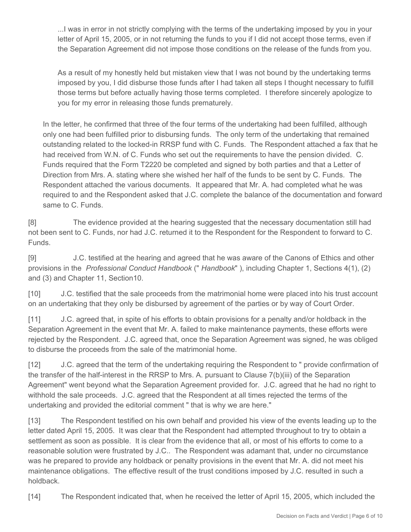...I was in error in not strictly complying with the terms of the undertaking imposed by you in your letter of April 15, 2005, or in not returning the funds to you if I did not accept those terms, even if the Separation Agreement did not impose those conditions on the release of the funds from you.

As a result of my honestly held but mistaken view that I was not bound by the undertaking terms imposed by you, I did disburse those funds after I had taken all steps I thought necessary to fulfill those terms but before actually having those terms completed. I therefore sincerely apologize to you for my error in releasing those funds prematurely.

In the letter, he confirmed that three of the four terms of the undertaking had been fulfilled, although only one had been fulfilled prior to disbursing funds. The only term of the undertaking that remained outstanding related to the locked-in RRSP fund with C. Funds. The Respondent attached a fax that he had received from W.N. of C. Funds who set out the requirements to have the pension divided. C. Funds required that the Form T2220 be completed and signed by both parties and that a Letter of Direction from Mrs. A. stating where she wished her half of the funds to be sent by C. Funds. The Respondent attached the various documents. It appeared that Mr. A. had completed what he was required to and the Respondent asked that J.C. complete the balance of the documentation and forward same to C. Funds.

[8] The evidence provided at the hearing suggested that the necessary documentation still had not been sent to C. Funds, nor had J.C. returned it to the Respondent for the Respondent to forward to C. Funds.

[9] J.C. testified at the hearing and agreed that he was aware of the Canons of Ethics and other provisions in the *Professional Conduct Handbook* (" *Handbook*" ), including Chapter 1, Sections 4(1), (2) and (3) and Chapter 11, Section10.

[10] J.C. testified that the sale proceeds from the matrimonial home were placed into his trust account on an undertaking that they only be disbursed by agreement of the parties or by way of Court Order.

[11] J.C. agreed that, in spite of his efforts to obtain provisions for a penalty and/or holdback in the Separation Agreement in the event that Mr. A. failed to make maintenance payments, these efforts were rejected by the Respondent. J.C. agreed that, once the Separation Agreement was signed, he was obliged to disburse the proceeds from the sale of the matrimonial home.

[12] J.C. agreed that the term of the undertaking requiring the Respondent to " provide confirmation of the transfer of the half-interest in the RRSP to Mrs. A. pursuant to Clause 7(b)(iii) of the Separation Agreement" went beyond what the Separation Agreement provided for. J.C. agreed that he had no right to withhold the sale proceeds. J.C. agreed that the Respondent at all times rejected the terms of the undertaking and provided the editorial comment " that is why we are here."

[13] The Respondent testified on his own behalf and provided his view of the events leading up to the letter dated April 15, 2005. It was clear that the Respondent had attempted throughout to try to obtain a settlement as soon as possible. It is clear from the evidence that all, or most of his efforts to come to a reasonable solution were frustrated by J.C.. The Respondent was adamant that, under no circumstance was he prepared to provide any holdback or penalty provisions in the event that Mr. A. did not meet his maintenance obligations. The effective result of the trust conditions imposed by J.C. resulted in such a holdback.

[14] The Respondent indicated that, when he received the letter of April 15, 2005, which included the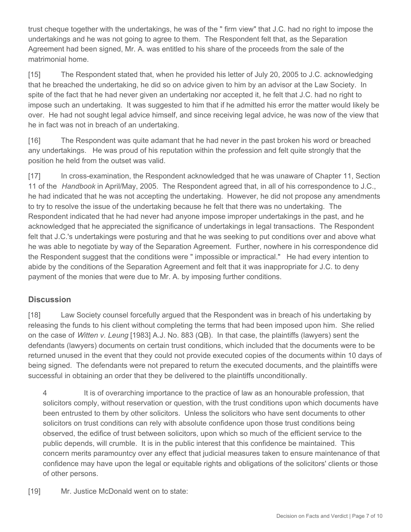trust cheque together with the undertakings, he was of the " firm view" that J.C. had no right to impose the undertakings and he was not going to agree to them. The Respondent felt that, as the Separation Agreement had been signed, Mr. A. was entitled to his share of the proceeds from the sale of the matrimonial home.

[15] The Respondent stated that, when he provided his letter of July 20, 2005 to J.C. acknowledging that he breached the undertaking, he did so on advice given to him by an advisor at the Law Society. In spite of the fact that he had never given an undertaking nor accepted it, he felt that J.C. had no right to impose such an undertaking. It was suggested to him that if he admitted his error the matter would likely be over. He had not sought legal advice himself, and since receiving legal advice, he was now of the view that he in fact was not in breach of an undertaking.

[16] The Respondent was quite adamant that he had never in the past broken his word or breached any undertakings. He was proud of his reputation within the profession and felt quite strongly that the position he held from the outset was valid.

[17] In cross-examination, the Respondent acknowledged that he was unaware of Chapter 11, Section 11 of the *Handbook* in April/May, 2005. The Respondent agreed that, in all of his correspondence to J.C., he had indicated that he was not accepting the undertaking. However, he did not propose any amendments to try to resolve the issue of the undertaking because he felt that there was no undertaking. The Respondent indicated that he had never had anyone impose improper undertakings in the past, and he acknowledged that he appreciated the significance of undertakings in legal transactions. The Respondent felt that J.C.'s undertakings were posturing and that he was seeking to put conditions over and above what he was able to negotiate by way of the Separation Agreement. Further, nowhere in his correspondence did the Respondent suggest that the conditions were " impossible or impractical." He had every intention to abide by the conditions of the Separation Agreement and felt that it was inappropriate for J.C. to deny payment of the monies that were due to Mr. A. by imposing further conditions.

### **Discussion**

[18] Law Society counsel forcefully argued that the Respondent was in breach of his undertaking by releasing the funds to his client without completing the terms that had been imposed upon him. She relied on the case of *Witten v. Leung* [1983] A.J. No. 883 (QB). In that case, the plaintiffs (lawyers) sent the defendants (lawyers) documents on certain trust conditions, which included that the documents were to be returned unused in the event that they could not provide executed copies of the documents within 10 days of being signed. The defendants were not prepared to return the executed documents, and the plaintiffs were successful in obtaining an order that they be delivered to the plaintiffs unconditionally.

4 It is of overarching importance to the practice of law as an honourable profession, that solicitors comply, without reservation or question, with the trust conditions upon which documents have been entrusted to them by other solicitors. Unless the solicitors who have sent documents to other solicitors on trust conditions can rely with absolute confidence upon those trust conditions being observed, the edifice of trust between solicitors, upon which so much of the efficient service to the public depends, will crumble. It is in the public interest that this confidence be maintained. This concern merits paramountcy over any effect that judicial measures taken to ensure maintenance of that confidence may have upon the legal or equitable rights and obligations of the solicitors' clients or those of other persons.

[19] Mr. Justice McDonald went on to state: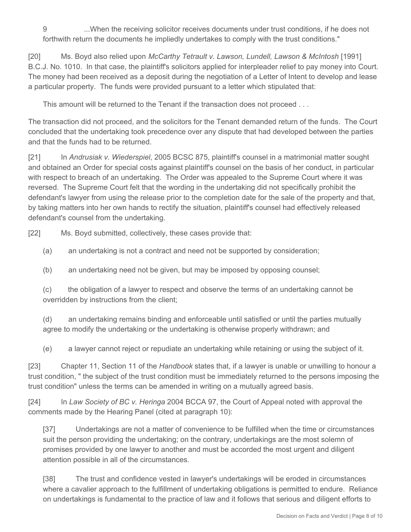9 ...When the receiving solicitor receives documents under trust conditions, if he does not forthwith return the documents he impliedly undertakes to comply with the trust conditions."

[20] Ms. Boyd also relied upon *McCarthy Tetrault v. Lawson, Lundell, Lawson & McIntosh* [1991] B.C.J. No. 1010. In that case, the plaintiff's solicitors applied for interpleader relief to pay money into Court. The money had been received as a deposit during the negotiation of a Letter of Intent to develop and lease a particular property. The funds were provided pursuant to a letter which stipulated that:

This amount will be returned to the Tenant if the transaction does not proceed . . .

The transaction did not proceed, and the solicitors for the Tenant demanded return of the funds. The Court concluded that the undertaking took precedence over any dispute that had developed between the parties and that the funds had to be returned.

[21] In *Andrusiak v. Wiederspiel*, 2005 BCSC 875, plaintiff's counsel in a matrimonial matter sought and obtained an Order for special costs against plaintiff's counsel on the basis of her conduct, in particular with respect to breach of an undertaking. The Order was appealed to the Supreme Court where it was reversed. The Supreme Court felt that the wording in the undertaking did not specifically prohibit the defendant's lawyer from using the release prior to the completion date for the sale of the property and that, by taking matters into her own hands to rectify the situation, plaintiff's counsel had effectively released defendant's counsel from the undertaking.

[22] Ms. Boyd submitted, collectively, these cases provide that:

(a) an undertaking is not a contract and need not be supported by consideration;

(b) an undertaking need not be given, but may be imposed by opposing counsel;

(c) the obligation of a lawyer to respect and observe the terms of an undertaking cannot be overridden by instructions from the client;

(d) an undertaking remains binding and enforceable until satisfied or until the parties mutually agree to modify the undertaking or the undertaking is otherwise properly withdrawn; and

(e) a lawyer cannot reject or repudiate an undertaking while retaining or using the subject of it.

[23] Chapter 11, Section 11 of the *Handbook* states that, if a lawyer is unable or unwilling to honour a trust condition, " the subject of the trust condition must be immediately returned to the persons imposing the trust condition" unless the terms can be amended in writing on a mutually agreed basis.

[24] In *Law Society of BC v. Heringa* 2004 BCCA 97, the Court of Appeal noted with approval the comments made by the Hearing Panel (cited at paragraph 10):

[37] Undertakings are not a matter of convenience to be fulfilled when the time or circumstances suit the person providing the undertaking; on the contrary, undertakings are the most solemn of promises provided by one lawyer to another and must be accorded the most urgent and diligent attention possible in all of the circumstances.

[38] The trust and confidence vested in lawyer's undertakings will be eroded in circumstances where a cavalier approach to the fulfillment of undertaking obligations is permitted to endure. Reliance on undertakings is fundamental to the practice of law and it follows that serious and diligent efforts to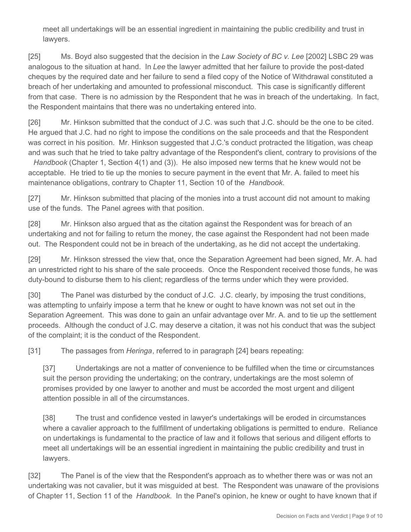meet all undertakings will be an essential ingredient in maintaining the public credibility and trust in lawyers.

[25] Ms. Boyd also suggested that the decision in the *Law Society of BC v. Lee* [2002] LSBC 29 was analogous to the situation at hand. In *Lee* the lawyer admitted that her failure to provide the post-dated cheques by the required date and her failure to send a filed copy of the Notice of Withdrawal constituted a breach of her undertaking and amounted to professional misconduct. This case is significantly different from that case. There is no admission by the Respondent that he was in breach of the undertaking. In fact, the Respondent maintains that there was no undertaking entered into.

[26] Mr. Hinkson submitted that the conduct of J.C. was such that J.C. should be the one to be cited. He argued that J.C. had no right to impose the conditions on the sale proceeds and that the Respondent was correct in his position. Mr. Hinkson suggested that J.C.'s conduct protracted the litigation, was cheap and was such that he tried to take paltry advantage of the Respondent's client, contrary to provisions of the

*Handbook* (Chapter 1, Section 4(1) and (3)). He also imposed new terms that he knew would not be acceptable. He tried to tie up the monies to secure payment in the event that Mr. A. failed to meet his maintenance obligations, contrary to Chapter 11, Section 10 of the *Handbook*.

[27] Mr. Hinkson submitted that placing of the monies into a trust account did not amount to making use of the funds. The Panel agrees with that position.

[28] Mr. Hinkson also argued that as the citation against the Respondent was for breach of an undertaking and not for failing to return the money, the case against the Respondent had not been made out. The Respondent could not be in breach of the undertaking, as he did not accept the undertaking.

[29] Mr. Hinkson stressed the view that, once the Separation Agreement had been signed, Mr. A. had an unrestricted right to his share of the sale proceeds. Once the Respondent received those funds, he was duty-bound to disburse them to his client; regardless of the terms under which they were provided.

[30] The Panel was disturbed by the conduct of J.C. J.C. clearly, by imposing the trust conditions, was attempting to unfairly impose a term that he knew or ought to have known was not set out in the Separation Agreement. This was done to gain an unfair advantage over Mr. A. and to tie up the settlement proceeds. Although the conduct of J.C. may deserve a citation, it was not his conduct that was the subject of the complaint; it is the conduct of the Respondent.

[31] The passages from *Heringa*, referred to in paragraph [24] bears repeating:

[37] Undertakings are not a matter of convenience to be fulfilled when the time or circumstances suit the person providing the undertaking; on the contrary, undertakings are the most solemn of promises provided by one lawyer to another and must be accorded the most urgent and diligent attention possible in all of the circumstances.

[38] The trust and confidence vested in lawyer's undertakings will be eroded in circumstances where a cavalier approach to the fulfillment of undertaking obligations is permitted to endure. Reliance on undertakings is fundamental to the practice of law and it follows that serious and diligent efforts to meet all undertakings will be an essential ingredient in maintaining the public credibility and trust in lawyers.

[32] The Panel is of the view that the Respondent's approach as to whether there was or was not an undertaking was not cavalier, but it was misguided at best. The Respondent was unaware of the provisions of Chapter 11, Section 11 of the *Handbook*. In the Panel's opinion, he knew or ought to have known that if